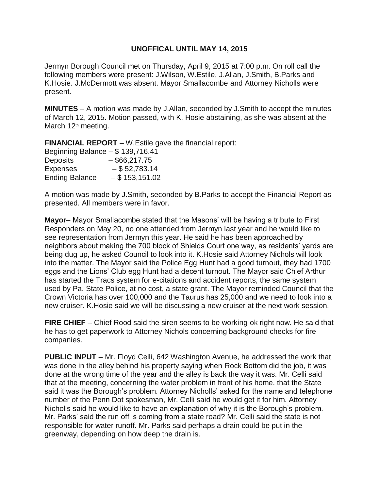## **UNOFFICAL UNTIL MAY 14, 2015**

Jermyn Borough Council met on Thursday, April 9, 2015 at 7:00 p.m. On roll call the following members were present: J.Wilson, W.Estile, J.Allan, J.Smith, B.Parks and K.Hosie. J.McDermott was absent. Mayor Smallacombe and Attorney Nicholls were present.

**MINUTES** – A motion was made by J.Allan, seconded by J.Smith to accept the minutes of March 12, 2015. Motion passed, with K. Hosie abstaining, as she was absent at the March 12<sup>th</sup> meeting.

**FINANCIAL REPORT** – W.Estile gave the financial report:

| Beginning Balance $-$ \$ 139,716.41 |                   |
|-------------------------------------|-------------------|
| <b>Deposits</b>                     | $-$ \$66,217.75   |
| <b>Expenses</b>                     | $-$ \$52,783.14   |
| <b>Ending Balance</b>               | $-$ \$ 153,151.02 |

A motion was made by J.Smith, seconded by B.Parks to accept the Financial Report as presented. All members were in favor.

**Mayor**– Mayor Smallacombe stated that the Masons' will be having a tribute to First Responders on May 20, no one attended from Jermyn last year and he would like to see representation from Jermyn this year. He said he has been approached by neighbors about making the 700 block of Shields Court one way, as residents' yards are being dug up, he asked Council to look into it. K.Hosie said Attorney Nichols will look into the matter. The Mayor said the Police Egg Hunt had a good turnout, they had 1700 eggs and the Lions' Club egg Hunt had a decent turnout. The Mayor said Chief Arthur has started the Tracs system for e-citations and accident reports, the same system used by Pa. State Police, at no cost, a state grant. The Mayor reminded Council that the Crown Victoria has over 100,000 and the Taurus has 25,000 and we need to look into a new cruiser. K.Hosie said we will be discussing a new cruiser at the next work session.

**FIRE CHIEF** – Chief Rood said the siren seems to be working ok right now. He said that he has to get paperwork to Attorney Nichols concerning background checks for fire companies.

**PUBLIC INPUT** – Mr. Floyd Celli, 642 Washington Avenue, he addressed the work that was done in the alley behind his property saying when Rock Bottom did the job, it was done at the wrong time of the year and the alley is back the way it was. Mr. Celli said that at the meeting, concerning the water problem in front of his home, that the State said it was the Borough's problem. Attorney Nicholls' asked for the name and telephone number of the Penn Dot spokesman, Mr. Celli said he would get it for him. Attorney Nicholls said he would like to have an explanation of why it is the Borough's problem. Mr. Parks' said the run off is coming from a state road? Mr. Celli said the state is not responsible for water runoff. Mr. Parks said perhaps a drain could be put in the greenway, depending on how deep the drain is.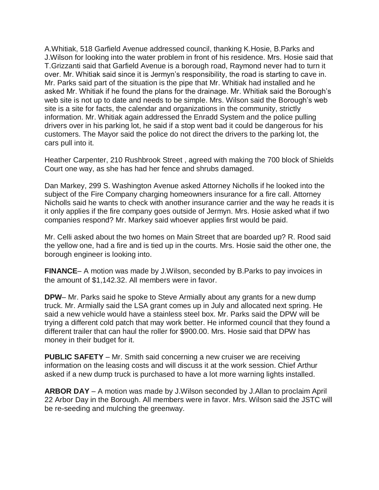A.Whitiak, 518 Garfield Avenue addressed council, thanking K.Hosie, B.Parks and J.Wilson for looking into the water problem in front of his residence. Mrs. Hosie said that T.Grizzanti said that Garfield Avenue is a borough road, Raymond never had to turn it over. Mr. Whitiak said since it is Jermyn's responsibility, the road is starting to cave in. Mr. Parks said part of the situation is the pipe that Mr. Whitiak had installed and he asked Mr. Whitiak if he found the plans for the drainage. Mr. Whitiak said the Borough's web site is not up to date and needs to be simple. Mrs. Wilson said the Borough's web site is a site for facts, the calendar and organizations in the community, strictly information. Mr. Whitiak again addressed the Enradd System and the police pulling drivers over in his parking lot, he said if a stop went bad it could be dangerous for his customers. The Mayor said the police do not direct the drivers to the parking lot, the cars pull into it.

Heather Carpenter, 210 Rushbrook Street , agreed with making the 700 block of Shields Court one way, as she has had her fence and shrubs damaged.

Dan Markey, 299 S. Washington Avenue asked Attorney Nicholls if he looked into the subject of the Fire Company charging homeowners insurance for a fire call. Attorney Nicholls said he wants to check with another insurance carrier and the way he reads it is it only applies if the fire company goes outside of Jermyn. Mrs. Hosie asked what if two companies respond? Mr. Markey said whoever applies first would be paid.

Mr. Celli asked about the two homes on Main Street that are boarded up? R. Rood said the yellow one, had a fire and is tied up in the courts. Mrs. Hosie said the other one, the borough engineer is looking into.

**FINANCE**– A motion was made by J.Wilson, seconded by B.Parks to pay invoices in the amount of \$1,142.32. All members were in favor.

**DPW**– Mr. Parks said he spoke to Steve Armially about any grants for a new dump truck. Mr. Armially said the LSA grant comes up in July and allocated next spring. He said a new vehicle would have a stainless steel box. Mr. Parks said the DPW will be trying a different cold patch that may work better. He informed council that they found a different trailer that can haul the roller for \$900.00. Mrs. Hosie said that DPW has money in their budget for it.

**PUBLIC SAFETY** – Mr. Smith said concerning a new cruiser we are receiving information on the leasing costs and will discuss it at the work session. Chief Arthur asked if a new dump truck is purchased to have a lot more warning lights installed.

**ARBOR DAY** – A motion was made by J.Wilson seconded by J.Allan to proclaim April 22 Arbor Day in the Borough. All members were in favor. Mrs. Wilson said the JSTC will be re-seeding and mulching the greenway.